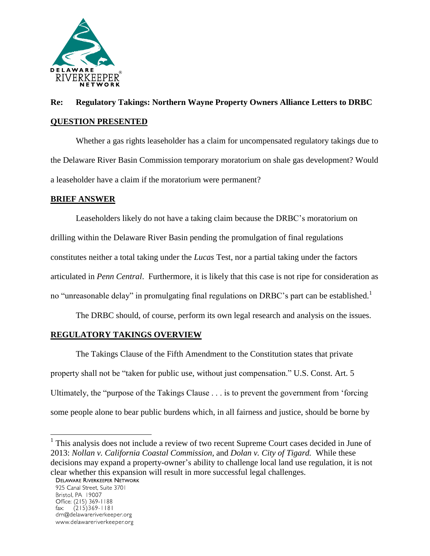

# **Re: Regulatory Takings: Northern Wayne Property Owners Alliance Letters to DRBC QUESTION PRESENTED**

Whether a gas rights leaseholder has a claim for uncompensated regulatory takings due to the Delaware River Basin Commission temporary moratorium on shale gas development? Would a leaseholder have a claim if the moratorium were permanent?

# **BRIEF ANSWER**

Leaseholders likely do not have a taking claim because the DRBC's moratorium on drilling within the Delaware River Basin pending the promulgation of final regulations constitutes neither a total taking under the *Lucas* Test, nor a partial taking under the factors articulated in *Penn Central*. Furthermore, it is likely that this case is not ripe for consideration as no "unreasonable delay" in promulgating final regulations on DRBC's part can be established.<sup>1</sup>

The DRBC should, of course, perform its own legal research and analysis on the issues.

# **REGULATORY TAKINGS OVERVIEW**

The Takings Clause of the Fifth Amendment to the Constitution states that private property shall not be "taken for public use, without just compensation." U.S. Const. Art. 5 Ultimately, the "purpose of the Takings Clause . . . is to prevent the government from 'forcing some people alone to bear public burdens which, in all fairness and justice, should be borne by

<sup>1</sup> This analysis does not include a review of two recent Supreme Court cases decided in June of 2013: *Nollan v. California Coastal Commission*, and *Dolan v. City of Tigard.* While these decisions may expand a property-owner's ability to challenge local land use regulation, it is not clear whether this expansion will result in more successful legal challenges.<br>DELAWARE RIVERKEEPER NETWORK

925 Canal Street, Suite 3701 Bristol, PA 19007 Office: (215) 369-1188  $(215)369 - 1181$ fax: drn@delawareriverkeeper.org www.delawareriverkeeper.org

 $\overline{a}$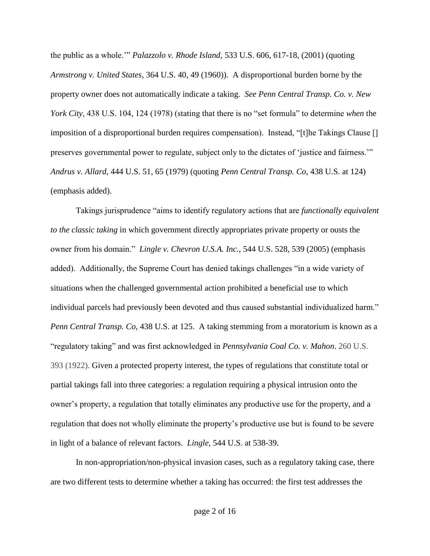the public as a whole.'" *Palazzolo v. Rhode Island*, 533 U.S. 606, 617-18, (2001) (quoting *Armstrong v. United States*, 364 U.S. 40, 49 (1960)). A disproportional burden borne by the property owner does not automatically indicate a taking. *See Penn Central Transp. Co. v. New York City*, 438 U.S. 104, 124 (1978) (stating that there is no "set formula" to determine *when* the imposition of a disproportional burden requires compensation). Instead, "[t]he Takings Clause [] preserves governmental power to regulate, subject only to the dictates of 'justice and fairness.'" *Andrus v. Allard*, 444 U.S. 51, 65 (1979) (quoting *Penn Central Transp. Co*, 438 U.S. at 124) (emphasis added).

Takings jurisprudence "aims to identify regulatory actions that are *functionally equivalent to the classic taking* in which government directly appropriates private property or ousts the owner from his domain." *Lingle v. Chevron U.S.A. Inc.*, 544 U.S. 528, 539 (2005) (emphasis added). Additionally, the Supreme Court has denied takings challenges "in a wide variety of situations when the challenged governmental action prohibited a beneficial use to which individual parcels had previously been devoted and thus caused substantial individualized harm." *Penn Central Transp. Co*, 438 U.S. at 125. A taking stemming from a moratorium is known as a "regulatory taking" and was first acknowledged in *Pennsylvania Coal Co. v. Mahon*. 260 U.S. 393 (1922). Given a protected property interest, the types of regulations that constitute total or partial takings fall into three categories: a regulation requiring a physical intrusion onto the owner's property, a regulation that totally eliminates any productive use for the property, and a regulation that does not wholly eliminate the property's productive use but is found to be severe in light of a balance of relevant factors. *Lingle*, 544 U.S. at 538-39.

In non-appropriation/non-physical invasion cases, such as a regulatory taking case, there are two different tests to determine whether a taking has occurred: the first test addresses the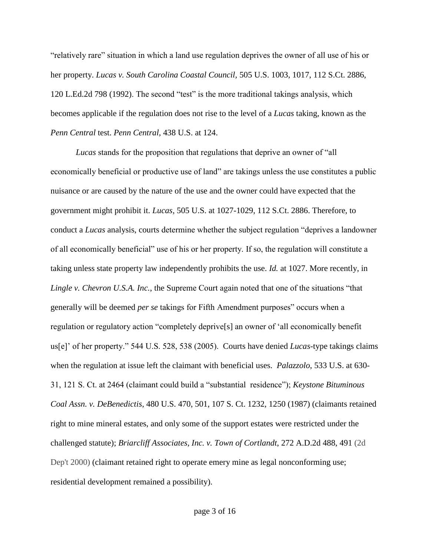"relatively rare" situation in which a land use regulation deprives the owner of all use of his or her property. *[Lucas v. South Carolina Coastal Council,](http://web2.westlaw.com/find/default.wl?mt=208&db=708&tc=-1&rp=%2ffind%2fdefault.wl&findtype=Y&ordoc=2002337737&serialnum=1992116311&vr=2.0&fn=_top&sv=Split&tf=-1&pbc=DE1CD3D6&rs=WLW12.01)* 505 U.S. 1003, 1017, 112 S.Ct. 2886, [120 L.Ed.2d 798 \(1992\).](http://web2.westlaw.com/find/default.wl?mt=208&db=708&tc=-1&rp=%2ffind%2fdefault.wl&findtype=Y&ordoc=2002337737&serialnum=1992116311&vr=2.0&fn=_top&sv=Split&tf=-1&pbc=DE1CD3D6&rs=WLW12.01) The second "test" is the more traditional takings analysis, which becomes applicable if the regulation does not rise to the level of a *Lucas* taking, known as the *Penn Central* test. *[Penn Central,](http://web2.westlaw.com/find/default.wl?mt=208&db=708&tc=-1&rp=%2ffind%2fdefault.wl&findtype=Y&ordoc=2002337737&serialnum=1978139503&vr=2.0&fn=_top&sv=Split&tf=-1&pbc=DE1CD3D6&rs=WLW12.01)* 438 U.S. at 124.

*Lucas* stands for the proposition that regulations that deprive an owner of "all economically beneficial or productive use of land" are takings unless the use constitutes a public nuisance or are caused by the nature of the use and the owner could have expected that the government might prohibit it. *Lucas,* [505 U.S. at 1027-1029, 112 S.Ct. 2886.](http://web2.westlaw.com/find/default.wl?mt=208&db=708&tc=-1&rp=%2ffind%2fdefault.wl&findtype=Y&ordoc=2002337737&serialnum=1992116311&vr=2.0&fn=_top&sv=Split&tf=-1&pbc=FA5355D8&rs=WLW12.01) Therefore, to conduct a *Lucas* analysis, courts determine whether the subject regulation "deprives a landowner of all economically beneficial" use of his or her property. If so, the regulation will constitute a taking unless state property law independently prohibits the use. *Id.* [at 1027.](http://web2.westlaw.com/find/default.wl?mt=208&db=708&tc=-1&rp=%2ffind%2fdefault.wl&findtype=Y&ordoc=2002337737&serialnum=1992116311&vr=2.0&fn=_top&sv=Split&tf=-1&pbc=FA5355D8&rs=WLW12.01) More recently, in *Lingle v. Chevron U.S.A. Inc.*, the Supreme Court again noted that one of the situations "that generally will be deemed *per se* takings for Fifth Amendment purposes" occurs when a regulation or regulatory action "completely deprive[s] an owner of 'all economically benefit us[e]' of her property." 544 U.S. 528, 538 (2005). Courts have denied *Lucas*-type takings claims when the regulation at issue left the claimant with beneficial uses. *Palazzolo*, 533 U.S. at 630- 31, 121 S. Ct. at 2464 (claimant could build a "substantial residence"); *Keystone Bituminous Coal Assn. v. DeBenedictis*, 480 U.S. 470, 501, 107 S. Ct. 1232, 1250 (1987) (claimants retained right to mine mineral estates, and only some of the support estates were restricted under the challenged statute); *Briarcliff Associates, Inc. v. Town of Cortlandt*, 272 A.D.2d 488, 491 (2d Dep't 2000) (claimant retained right to operate emery mine as legal nonconforming use; residential development remained a possibility).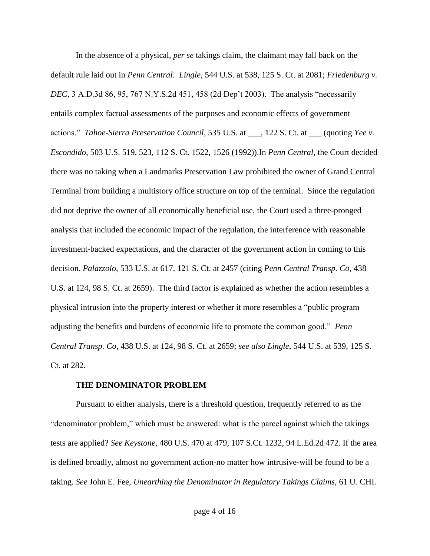In the absence of a physical, *per se* takings claim, the claimant may fall back on the default rule laid out in *Penn Central*. *Lingle*, 544 U.S. at 538, 125 S. Ct. at 2081; *Friedenburg v. DEC*, 3 A.D.3d 86, 95, 767 N.Y.S.2d 451, 458 (2d Dep't 2003). The analysis "necessarily entails complex factual assessments of the purposes and economic effects of government actions." *Tahoe-Sierra Preservation Council*, 535 U.S. at \_\_\_, 122 S. Ct. at \_\_\_ (quoting *Yee v. Escondido*, 503 U.S. 519, 523, 112 S. Ct. 1522, 1526 (1992)).In *Penn Central*, the Court decided there was no taking when a Landmarks Preservation Law prohibited the owner of Grand Central Terminal from building a multistory office structure on top of the terminal. Since the regulation did not deprive the owner of all economically beneficial use, the Court used a three-pronged analysis that included the economic impact of the regulation, the interference with reasonable investment-backed expectations, and the character of the government action in coming to this decision. *Palazzolo*, 533 U.S. at 617, 121 S. Ct. at 2457 (citing *Penn Central Transp. Co*, 438 U.S. at 124, 98 S. Ct. at 2659). The third factor is explained as whether the action resembles a physical intrusion into the property interest or whether it more resembles a "public program adjusting the benefits and burdens of economic life to promote the common good." *Penn Central Transp. Co*, 438 U.S. at 124, 98 S. Ct. at 2659; *see also Lingle*, 544 U.S. at 539, 125 S. Ct. at 282.

#### **THE DENOMINATOR PROBLEM**

Pursuant to either analysis, there is a threshold question, frequently referred to as the "denominator problem," which must be answered: what is the parcel against which the takings tests are applied? *See Keystone,* [480 U.S. 470 at 479, 107 S.Ct. 1232, 94 L.Ed.2d 472.](http://web2.westlaw.com/find/default.wl?mt=208&db=708&tc=-1&rp=%2ffind%2fdefault.wl&findtype=Y&ordoc=2002337737&serialnum=1987029487&vr=2.0&fn=_top&sv=Split&tf=-1&pbc=FA5355D8&rs=WLW12.01) If the area is defined broadly, almost no government action-no matter how intrusive-will be found to be a taking. *See* John E. Fee, *[Unearthing the Denominator in Regulatory Takings Claims,](http://web2.westlaw.com/find/default.wl?mt=208&db=3039&tc=-1&rp=%2ffind%2fdefault.wl&findtype=Y&ordoc=2002337737&serialnum=0104852839&vr=2.0&fn=_top&sv=Split&tf=-1&referencepositiontype=S&pbc=FA5355D8&referenceposition=1536&rs=WLW12.01)* 61 U. CHI.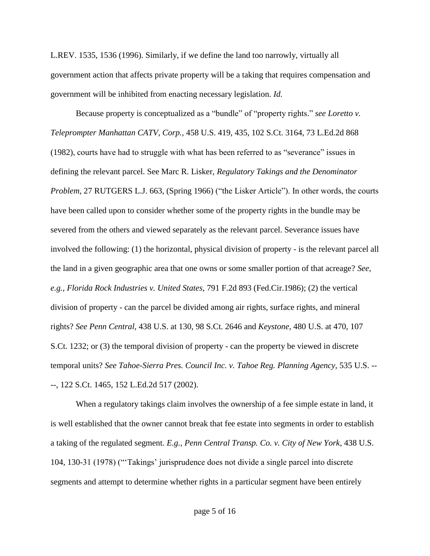L.REV. [1535, 1536 \(1996\).](http://web2.westlaw.com/find/default.wl?mt=208&db=3039&tc=-1&rp=%2ffind%2fdefault.wl&findtype=Y&ordoc=2002337737&serialnum=0104852839&vr=2.0&fn=_top&sv=Split&tf=-1&referencepositiontype=S&pbc=FA5355D8&referenceposition=1536&rs=WLW12.01) Similarly, if we define the land too narrowly, virtually all government action that affects private property will be a taking that requires compensation and government will be inhibited from enacting necessary legislation. *Id.*

Because property is conceptualized as a "bundle" of "property rights." *see [Loretto v.](http://web2.westlaw.com/find/default.wl?mt=208&db=708&tc=-1&rp=%2ffind%2fdefault.wl&findtype=Y&ordoc=2002337737&serialnum=1982129338&vr=2.0&fn=_top&sv=Split&tf=-1&pbc=FA5355D8&rs=WLW12.01)  Teleprompter Manhattan CATV, Corp.,* [458 U.S. 419, 435, 102 S.Ct. 3164, 73 L.Ed.2d 868](http://web2.westlaw.com/find/default.wl?mt=208&db=708&tc=-1&rp=%2ffind%2fdefault.wl&findtype=Y&ordoc=2002337737&serialnum=1982129338&vr=2.0&fn=_top&sv=Split&tf=-1&pbc=FA5355D8&rs=WLW12.01)  [\(1982\),](http://web2.westlaw.com/find/default.wl?mt=208&db=708&tc=-1&rp=%2ffind%2fdefault.wl&findtype=Y&ordoc=2002337737&serialnum=1982129338&vr=2.0&fn=_top&sv=Split&tf=-1&pbc=FA5355D8&rs=WLW12.01) courts have had to struggle with what has been referred to as "severance" issues in defining the relevant parcel. See Marc R. Lisker, *[Regulatory Takings and the Denominator](http://web2.westlaw.com/find/default.wl?mt=208&db=1226&tc=-1&rp=%2ffind%2fdefault.wl&findtype=Y&ordoc=2002337737&serialnum=0107545050&vr=2.0&fn=_top&sv=Split&tf=-1&pbc=FA5355D8&rs=WLW12.01)  Problem,* 27 RUTGERS L.J. [663, \(Spring 1966\)](http://web2.westlaw.com/find/default.wl?mt=208&db=1226&tc=-1&rp=%2ffind%2fdefault.wl&findtype=Y&ordoc=2002337737&serialnum=0107545050&vr=2.0&fn=_top&sv=Split&tf=-1&pbc=FA5355D8&rs=WLW12.01) ("the Lisker Article"). In other words, the courts have been called upon to consider whether some of the property rights in the bundle may be severed from the others and viewed separately as the relevant parcel. Severance issues have involved the following: (1) the horizontal, physical division of property - is the relevant parcel all the land in a given geographic area that one owns or some smaller portion of that acreage? *See, e.g., [Florida Rock Industries v. United States,](http://web2.westlaw.com/find/default.wl?mt=208&db=350&tc=-1&rp=%2ffind%2fdefault.wl&findtype=Y&ordoc=2002337737&serialnum=1986124926&vr=2.0&fn=_top&sv=Split&tf=-1&pbc=FA5355D8&rs=WLW12.01)* 791 F.2d 893 (Fed.Cir.1986); (2) the vertical division of property - can the parcel be divided among air rights, surface rights, and mineral rights? *See Penn Central,* [438 U.S. at 130, 98 S.Ct. 2646](http://web2.westlaw.com/find/default.wl?mt=208&db=708&tc=-1&rp=%2ffind%2fdefault.wl&findtype=Y&ordoc=2002337737&serialnum=1978139503&vr=2.0&fn=_top&sv=Split&tf=-1&pbc=FA5355D8&rs=WLW12.01) and *Keystone,* [480 U.S. at 470, 107](http://web2.westlaw.com/find/default.wl?mt=208&db=708&tc=-1&rp=%2ffind%2fdefault.wl&findtype=Y&ordoc=2002337737&serialnum=1987029487&vr=2.0&fn=_top&sv=Split&tf=-1&pbc=FA5355D8&rs=WLW12.01)  [S.Ct. 1232;](http://web2.westlaw.com/find/default.wl?mt=208&db=708&tc=-1&rp=%2ffind%2fdefault.wl&findtype=Y&ordoc=2002337737&serialnum=1987029487&vr=2.0&fn=_top&sv=Split&tf=-1&pbc=FA5355D8&rs=WLW12.01) or (3) the temporal division of property - can the property be viewed in discrete temporal units? *See [Tahoe-Sierra Pres. Council Inc. v. Tahoe Reg. Planning Agency,](http://web2.westlaw.com/find/default.wl?mt=208&db=708&tc=-1&rp=%2ffind%2fdefault.wl&findtype=Y&ordoc=2002337737&serialnum=2002254054&vr=2.0&fn=_top&sv=Split&tf=-1&pbc=FA5355D8&rs=WLW12.01)* 535 U.S. -- [--, 122 S.Ct. 1465, 152 L.Ed.2d 517 \(2002\).](http://web2.westlaw.com/find/default.wl?mt=208&db=708&tc=-1&rp=%2ffind%2fdefault.wl&findtype=Y&ordoc=2002337737&serialnum=2002254054&vr=2.0&fn=_top&sv=Split&tf=-1&pbc=FA5355D8&rs=WLW12.01)

When a regulatory takings claim involves the ownership of a fee simple estate in land, it is well established that the owner cannot break that fee estate into segments in order to establish a taking of the regulated segment. *E.g.*, *Penn Central Transp. Co. v. City of New York*, 438 U.S. 104, 130-31 (1978) ("'Takings' jurisprudence does not divide a single parcel into discrete segments and attempt to determine whether rights in a particular segment have been entirely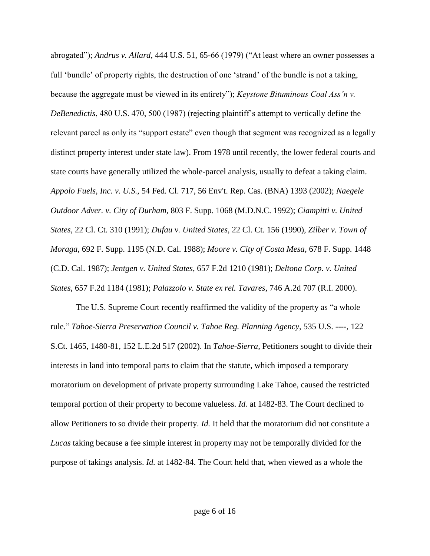abrogated"); *Andrus v. Allard*, 444 U.S. 51, 65-66 (1979) ("At least where an owner possesses a full 'bundle' of property rights, the destruction of one 'strand' of the bundle is not a taking, because the aggregate must be viewed in its entirety"); *Keystone Bituminous Coal Ass'n v. DeBenedictis*, 480 U.S. 470, 500 (1987) (rejecting plaintiff's attempt to vertically define the relevant parcel as only its "support estate" even though that segment was recognized as a legally distinct property interest under state law). From 1978 until recently, the lower federal courts and state courts have generally utilized the whole-parcel analysis, usually to defeat a taking claim. *Appolo Fuels, Inc. v. U.S.*[, 54 Fed. Cl. 717, 56 Env't. Rep. Cas. \(BNA\) 1393 \(2002\);](http://web2.westlaw.com/find/default.wl?mt=208&db=0000613&tc=-1&rp=%2ffind%2fdefault.wl&findtype=Y&ordoc=0294739511&serialnum=2002807449&vr=2.0&fn=_top&sv=Split&tf=-1&pbc=FF0DAC95&rs=WLW12.01) *[Naegele](http://web2.westlaw.com/find/default.wl?mt=208&db=0000345&tc=-1&rp=%2ffind%2fdefault.wl&findtype=Y&ordoc=0294739511&serialnum=1992169182&vr=2.0&fn=_top&sv=Split&tf=-1&pbc=FF0DAC95&rs=WLW12.01)  Outdoor Adver. v. City of Durham*[, 803 F. Supp. 1068 \(M.D.N.C. 1992\);](http://web2.westlaw.com/find/default.wl?mt=208&db=0000345&tc=-1&rp=%2ffind%2fdefault.wl&findtype=Y&ordoc=0294739511&serialnum=1992169182&vr=2.0&fn=_top&sv=Split&tf=-1&pbc=FF0DAC95&rs=WLW12.01) *[Ciampitti v. United](http://web2.westlaw.com/find/default.wl?mt=208&db=0000852&tc=-1&rp=%2ffind%2fdefault.wl&findtype=Y&ordoc=0294739511&serialnum=1991026677&vr=2.0&fn=_top&sv=Split&tf=-1&pbc=FF0DAC95&rs=WLW12.01)  States*[, 22 Cl. Ct. 310 \(1991\);](http://web2.westlaw.com/find/default.wl?mt=208&db=0000852&tc=-1&rp=%2ffind%2fdefault.wl&findtype=Y&ordoc=0294739511&serialnum=1991026677&vr=2.0&fn=_top&sv=Split&tf=-1&pbc=FF0DAC95&rs=WLW12.01) *Dufau v. United States*[, 22 Cl. Ct. 156 \(1990\),](http://web2.westlaw.com/find/default.wl?mt=208&db=0000852&tc=-1&rp=%2ffind%2fdefault.wl&findtype=Y&ordoc=0294739511&serialnum=1990172914&vr=2.0&fn=_top&sv=Split&tf=-1&pbc=FF0DAC95&rs=WLW12.01) *[Zilber v. Town of](http://web2.westlaw.com/find/default.wl?mt=208&db=0000345&tc=-1&rp=%2ffind%2fdefault.wl&findtype=Y&ordoc=0294739511&serialnum=1988108441&vr=2.0&fn=_top&sv=Split&tf=-1&pbc=FF0DAC95&rs=WLW12.01)  Moraga*[, 692 F. Supp. 1195 \(N.D. Cal. 1988\);](http://web2.westlaw.com/find/default.wl?mt=208&db=0000345&tc=-1&rp=%2ffind%2fdefault.wl&findtype=Y&ordoc=0294739511&serialnum=1988108441&vr=2.0&fn=_top&sv=Split&tf=-1&pbc=FF0DAC95&rs=WLW12.01) *[Moore v. City of Costa Mesa](http://web2.westlaw.com/find/default.wl?mt=208&db=0000345&tc=-1&rp=%2ffind%2fdefault.wl&findtype=Y&ordoc=0294739511&serialnum=1988020365&vr=2.0&fn=_top&sv=Split&tf=-1&pbc=FF0DAC95&rs=WLW12.01)*, 678 F. Supp. 1448 [\(C.D. Cal. 1987\);](http://web2.westlaw.com/find/default.wl?mt=208&db=0000345&tc=-1&rp=%2ffind%2fdefault.wl&findtype=Y&ordoc=0294739511&serialnum=1988020365&vr=2.0&fn=_top&sv=Split&tf=-1&pbc=FF0DAC95&rs=WLW12.01) *[Jentgen v. United States](http://web2.westlaw.com/find/default.wl?mt=208&db=0000350&tc=-1&rp=%2ffind%2fdefault.wl&findtype=Y&ordoc=0294739511&serialnum=1981136893&vr=2.0&fn=_top&sv=Split&tf=-1&pbc=FF0DAC95&rs=WLW12.01)*, 657 F.2d 1210 (1981); *[Deltona Corp. v. United](http://web2.westlaw.com/find/default.wl?mt=208&db=0000350&tc=-1&rp=%2ffind%2fdefault.wl&findtype=Y&ordoc=0294739511&serialnum=1981136888&vr=2.0&fn=_top&sv=Split&tf=-1&pbc=FF0DAC95&rs=WLW12.01)  States*, 657 F.2d [1184 \(1981\);](http://web2.westlaw.com/find/default.wl?mt=208&db=0000350&tc=-1&rp=%2ffind%2fdefault.wl&findtype=Y&ordoc=0294739511&serialnum=1981136888&vr=2.0&fn=_top&sv=Split&tf=-1&pbc=FF0DAC95&rs=WLW12.01) *[Palazzolo v. State ex rel. Tavares](http://web2.westlaw.com/find/default.wl?mt=208&db=0000162&tc=-1&rp=%2ffind%2fdefault.wl&findtype=Y&ordoc=0294739511&serialnum=2000063728&vr=2.0&fn=_top&sv=Split&tf=-1&pbc=FF0DAC95&rs=WLW12.01)*, 746 A.2d 707 (R.I. 2000).

The U.S. Supreme Court recently reaffirmed the validity of the property as "a whole rule." *[Tahoe-Sierra Preservation Council v. Tahoe Reg. Planning Agency,](http://web2.westlaw.com/find/default.wl?mt=208&db=708&tc=-1&rp=%2ffind%2fdefault.wl&findtype=Y&ordoc=2002337737&serialnum=2002254054&vr=2.0&fn=_top&sv=Split&tf=-1&referencepositiontype=S&pbc=FA5355D8&referenceposition=1480&rs=WLW12.01)* 535 U.S. ----, 122 [S.Ct. 1465, 1480-81, 152 L.E.2d 517 \(2002\).](http://web2.westlaw.com/find/default.wl?mt=208&db=708&tc=-1&rp=%2ffind%2fdefault.wl&findtype=Y&ordoc=2002337737&serialnum=2002254054&vr=2.0&fn=_top&sv=Split&tf=-1&referencepositiontype=S&pbc=FA5355D8&referenceposition=1480&rs=WLW12.01) In *Tahoe-Sierra,* Petitioners sought to divide their interests in land into temporal parts to claim that the statute, which imposed a temporary moratorium on development of private property surrounding Lake Tahoe, caused the restricted temporal portion of their property to become valueless. *Id.* at 1482-83. The Court declined to allow Petitioners to so divide their property. *Id.* It held that the moratorium did not constitute a *Lucas* taking because a fee simple interest in property may not be temporally divided for the purpose of takings analysis. *Id.* [at 1482-84.](http://web2.westlaw.com/find/default.wl?rs=WLW12.01&pbc=FA5355D8&vr=2.0&findtype=Y&rp=%2ffind%2fdefault.wl&sv=Split&fn=_top&tf=-1&ordoc=2002337737&mt=208&serialnum=2002254054&tc=-1) The Court held that, when viewed as a whole the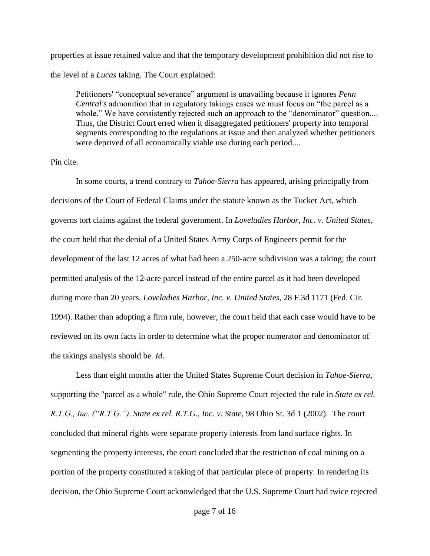properties at issue retained value and that the temporary development prohibition did not rise to the level of a *Lucas* taking. The Court explained:

Petitioners' "conceptual severance" argument is unavailing because it ignores *Penn Central's* admonition that in regulatory takings cases we must focus on "the parcel as a whole." We have consistently rejected such an approach to the "denominator" question.... Thus, the District Court erred when it disaggregated petitioners' property into temporal segments corresponding to the regulations at issue and then analyzed whether petitioners were deprived of all economically viable use during each period....

## Pin cite.

In some courts, a trend contrary to *Tahoe-Sierra* has appeared, arising principally from decisions of the Court of Federal Claims under the statute known as the Tucker Act, which governs tort claims against the federal government. In *Loveladies Harbor, Inc. v. United States*, the court held that the denial of a United States Army Corps of Engineers permit for the development of the last 12 acres of what had been a 250-acre subdivision was a taking; the court permitted analysis of the 12-acre parcel instead of the entire parcel as it had been developed during more than 20 years. *[Loveladies Harbor, Inc. v. United States](http://web2.westlaw.com/find/default.wl?mt=208&db=0000506&tc=-1&rp=%2ffind%2fdefault.wl&findtype=Y&ordoc=0294739511&serialnum=1994129156&vr=2.0&fn=_top&sv=Split&tf=-1&pbc=FF0DAC95&rs=WLW12.01)*, 28 F.3d 1171 (Fed. Cir. [1994\).](http://web2.westlaw.com/find/default.wl?mt=208&db=0000506&tc=-1&rp=%2ffind%2fdefault.wl&findtype=Y&ordoc=0294739511&serialnum=1994129156&vr=2.0&fn=_top&sv=Split&tf=-1&pbc=FF0DAC95&rs=WLW12.01) Rather than adopting a firm rule, however, the court held that each case would have to be reviewed on its own facts in order to determine what the proper numerator and denominator of the takings analysis should be. *Id*.

Less than eight months after the United States Supreme Court decision in *Tahoe-Sierra*, supporting the "parcel as a whole" rule, the Ohio Supreme Court rejected the rule in *State ex rel. R.T.G., Inc. ("R.T.G.")*. *[State ex rel. R.T.G., Inc. v. State](http://web2.westlaw.com/find/default.wl?mt=208&db=0000578&tc=-1&rp=%2ffind%2fdefault.wl&findtype=Y&ordoc=0294739511&serialnum=2002765985&vr=2.0&fn=_top&sv=Split&tf=-1&pbc=FF0DAC95&rs=WLW12.01)*, 98 Ohio St. 3d 1 (2002). The court concluded that mineral rights were separate property interests from land surface rights. In segmenting the property interests, the court concluded that the restriction of coal mining on a portion of the property constituted a taking of that particular piece of property. In rendering its decision, the Ohio Supreme Court acknowledged that the U.S. Supreme Court had twice rejected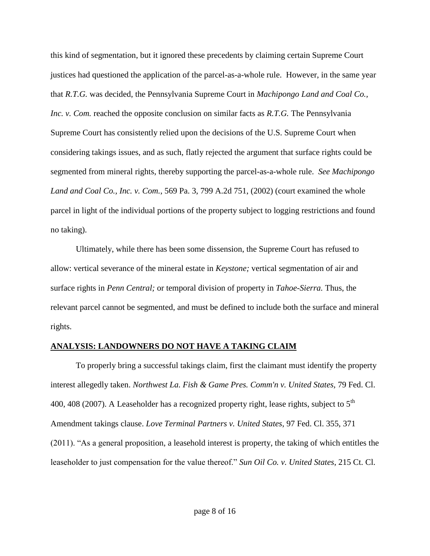this kind of segmentation, but it ignored these precedents by claiming certain Supreme Court justices had questioned the application of the parcel-as-a-whole rule. However, in the same year that *R.T.G.* was decided, the Pennsylvania Supreme Court in *Machipongo Land and Coal Co., Inc. v. Com.* reached the opposite conclusion on similar facts as *R.T.G.* The Pennsylvania Supreme Court has consistently relied upon the decisions of the U.S. Supreme Court when considering takings issues, and as such, flatly rejected the argument that surface rights could be segmented from mineral rights, thereby supporting the parcel-as-a-whole rule. *See Machipongo Land and Coal Co., Inc. v. Com.*, 569 Pa. 3, 799 A.2d 751, (2002) (court examined the whole parcel in light of the individual portions of the property subject to logging restrictions and found no taking).

Ultimately, while there has been some dissension, the Supreme Court has refused to allow: vertical severance of the mineral estate in *Keystone;* vertical segmentation of air and surface rights in *Penn Central;* or temporal division of property in *Tahoe-Sierra.* Thus, the relevant parcel cannot be segmented, and must be defined to include both the surface and mineral rights.

## **ANALYSIS: LANDOWNERS DO NOT HAVE A TAKING CLAIM**

To properly bring a successful takings claim, first the claimant must identify the property interest allegedly taken. *Northwest La. Fish & Game Pres. Comm'n v. United States,* 79 Fed. Cl. 400, 408 (2007). A Leaseholder has a recognized property right, lease rights, subject to  $5<sup>th</sup>$ Amendment takings clause. *Love Terminal Partners v. United States*, 97 Fed. Cl. 355, 371 (2011). "As a general proposition, a leasehold interest is property, the taking of which entitles the leaseholder to just compensation for the value thereof." *Sun Oil Co. v. United States*, 215 Ct. Cl.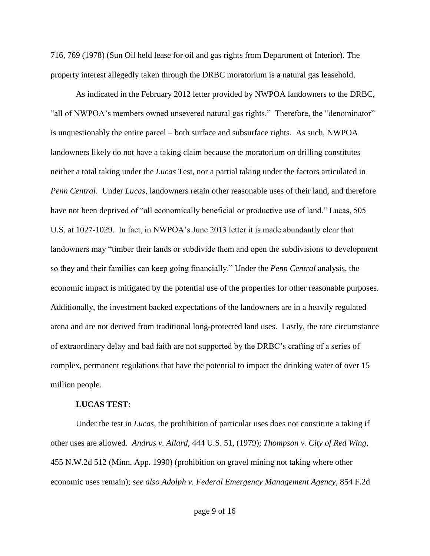716, 769 (1978) (Sun Oil held lease for oil and gas rights from Department of Interior). The property interest allegedly taken through the DRBC moratorium is a natural gas leasehold.

As indicated in the February 2012 letter provided by NWPOA landowners to the DRBC, "all of NWPOA's members owned unsevered natural gas rights." Therefore, the "denominator" is unquestionably the entire parcel – both surface and subsurface rights. As such, NWPOA landowners likely do not have a taking claim because the moratorium on drilling constitutes neither a total taking under the *Lucas* Test, nor a partial taking under the factors articulated in *Penn Central*. Under *Lucas*, landowners retain other reasonable uses of their land, and therefore have not been deprived of "all economically beneficial or productive use of land." Lucas, 505 U.S. at 1027-1029. In fact, in NWPOA's June 2013 letter it is made abundantly clear that landowners may "timber their lands or subdivide them and open the subdivisions to development so they and their families can keep going financially." Under the *Penn Central* analysis, the economic impact is mitigated by the potential use of the properties for other reasonable purposes. Additionally, the investment backed expectations of the landowners are in a heavily regulated arena and are not derived from traditional long-protected land uses. Lastly, the rare circumstance of extraordinary delay and bad faith are not supported by the DRBC's crafting of a series of complex, permanent regulations that have the potential to impact the drinking water of over 15 million people.

## **LUCAS TEST:**

Under the test in *Lucas*, the prohibition of particular uses does not constitute a taking if other uses are allowed. *Andrus v. Allard*[, 444 U.S. 51, \(1979\);](http://web2.westlaw.com/find/default.wl?mt=208&db=0000708&tc=-1&rp=%2ffind%2fdefault.wl&findtype=Y&ordoc=0294739511&serialnum=1979135190&vr=2.0&fn=_top&sv=Split&tf=-1&pbc=FF0DAC95&rs=WLW12.01) *[Thompson v. City of Red Wing](http://web2.westlaw.com/find/default.wl?mt=208&db=0000595&tc=-1&rp=%2ffind%2fdefault.wl&findtype=Y&ordoc=0294739511&serialnum=1990078477&vr=2.0&fn=_top&sv=Split&tf=-1&pbc=FF0DAC95&rs=WLW12.01)*, 455 N.W.2d [512 \(Minn. App. 1990\)](http://web2.westlaw.com/find/default.wl?mt=208&db=0000595&tc=-1&rp=%2ffind%2fdefault.wl&findtype=Y&ordoc=0294739511&serialnum=1990078477&vr=2.0&fn=_top&sv=Split&tf=-1&pbc=FF0DAC95&rs=WLW12.01) (prohibition on gravel mining not taking where other economic uses remain); *see also [Adolph v. Federal Emergency Management Agency](http://web2.westlaw.com/find/default.wl?mt=208&db=0000350&tc=-1&rp=%2ffind%2fdefault.wl&findtype=Y&ordoc=0294739511&serialnum=1988109391&vr=2.0&fn=_top&sv=Split&tf=-1&pbc=FF0DAC95&rs=WLW12.01)*, 854 F.2d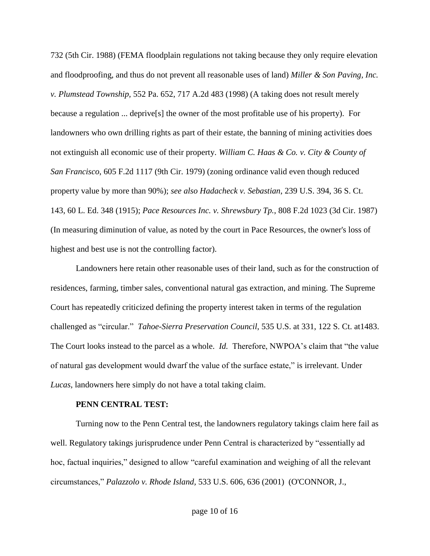[732 \(5th Cir. 1988\)](http://web2.westlaw.com/find/default.wl?mt=208&db=0000350&tc=-1&rp=%2ffind%2fdefault.wl&findtype=Y&ordoc=0294739511&serialnum=1988109391&vr=2.0&fn=_top&sv=Split&tf=-1&pbc=FF0DAC95&rs=WLW12.01) (FEMA floodplain regulations not taking because they only require elevation and floodproofing, and thus do not prevent all reasonable uses of land) *[Miller & Son Paving, Inc.](http://web2.westlaw.com/find/default.wl?mt=208&db=162&tc=-1&rp=%2ffind%2fdefault.wl&findtype=Y&ordoc=2002337737&serialnum=1998186424&vr=2.0&fn=_top&sv=Split&tf=-1&pbc=FA5355D8&rs=WLW12.01)  v. Plumstead Township,* [552 Pa. 652, 717 A.2d 483 \(1998\)](http://web2.westlaw.com/find/default.wl?mt=208&db=162&tc=-1&rp=%2ffind%2fdefault.wl&findtype=Y&ordoc=2002337737&serialnum=1998186424&vr=2.0&fn=_top&sv=Split&tf=-1&pbc=FA5355D8&rs=WLW12.01) (A taking does not result merely because a regulation ... deprive[s] the owner of the most profitable use of his property). For landowners who own drilling rights as part of their estate, the banning of mining activities does not extinguish all economic use of their property. *[William C. Haas & Co. v. City & County of](http://web2.westlaw.com/find/default.wl?mt=208&db=0000350&tc=-1&rp=%2ffind%2fdefault.wl&findtype=Y&ordoc=0294739511&serialnum=1979114576&vr=2.0&fn=_top&sv=Split&tf=-1&pbc=FF0DAC95&rs=WLW12.01)  San Francisco*[, 605 F.2d 1117 \(9th Cir. 1979\)](http://web2.westlaw.com/find/default.wl?mt=208&db=0000350&tc=-1&rp=%2ffind%2fdefault.wl&findtype=Y&ordoc=0294739511&serialnum=1979114576&vr=2.0&fn=_top&sv=Split&tf=-1&pbc=FF0DAC95&rs=WLW12.01) (zoning ordinance valid even though reduced property value by more than 90%); *see also [Hadacheck v. Sebastian](http://web2.westlaw.com/find/default.wl?mt=208&db=0000708&tc=-1&rp=%2ffind%2fdefault.wl&findtype=Y&ordoc=0294739511&serialnum=1916100609&vr=2.0&fn=_top&sv=Split&tf=-1&pbc=FF0DAC95&rs=WLW12.01)*, 239 U.S. 394, 36 S. Ct. [143, 60 L. Ed. 348 \(1915\);](http://web2.westlaw.com/find/default.wl?mt=208&db=0000708&tc=-1&rp=%2ffind%2fdefault.wl&findtype=Y&ordoc=0294739511&serialnum=1916100609&vr=2.0&fn=_top&sv=Split&tf=-1&pbc=FF0DAC95&rs=WLW12.01) *[Pace Resources Inc. v. Shrewsbury Tp.](http://web2.westlaw.com/find/default.wl?mt=208&db=0000350&tc=-1&rp=%2ffind%2fdefault.wl&findtype=Y&ordoc=0294739511&serialnum=1987004002&vr=2.0&fn=_top&sv=Split&tf=-1&pbc=FF0DAC95&rs=WLW12.01)*, 808 F.2d 1023 (3d Cir. 1987) (In measuring diminution of value, as noted by the court in Pace Resources, the owner's loss of highest and best use is not the controlling factor).

Landowners here retain other reasonable uses of their land, such as for the construction of residences, farming, timber sales, conventional natural gas extraction, and mining. The Supreme Court has repeatedly criticized defining the property interest taken in terms of the regulation challenged as "circular." *Tahoe-Sierra Preservation Council*, 535 U.S. at 331, 122 S. Ct. at1483. The Court looks instead to the parcel as a whole. *Id.* Therefore, NWPOA's claim that "the value of natural gas development would dwarf the value of the surface estate," is irrelevant. Under *Lucas*, landowners here simply do not have a total taking claim.

#### **PENN CENTRAL TEST:**

Turning now to the Penn Central test, the landowners regulatory takings claim here fail as well. Regulatory takings jurisprudence under Penn Central is characterized by "essentially ad hoc, factual inquiries," designed to allow "careful examination and weighing of all the relevant circumstances," *[Palazzolo v. Rhode Island,](http://web2.westlaw.com/find/default.wl?mt=208&db=708&tc=-1&rp=%2ffind%2fdefault.wl&findtype=Y&ordoc=2002254054&serialnum=2001552273&vr=2.0&fn=_top&sv=Split&tf=-1&pbc=BB009E21&rs=WLW12.01)* 533 U.S. 606, 636 (2001) [\(O'CONNOR,](http://web2.westlaw.com/find/default.wl?mt=208&db=PROFILER-WLD&docname=0209675601&rp=%2ffind%2fdefault.wl&findtype=h&ordoc=2002254054&tc=-1&vr=2.0&fn=_top&sv=Split&tf=-1&pbc=BB009E21&rs=WLW12.01) J.,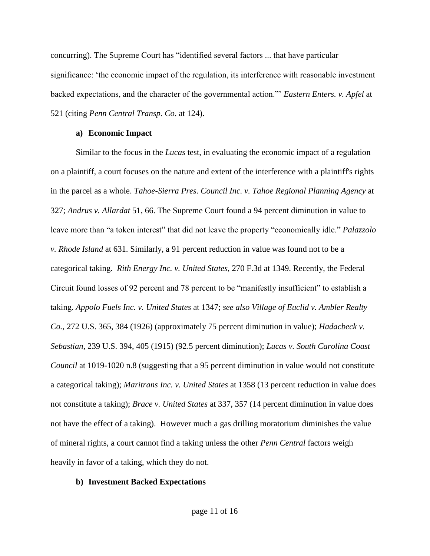concurring). The Supreme Court has "identified several factors ... that have particular significance: 'the economic impact of the regulation, its interference with reasonable investment backed expectations, and the character of the governmental action."' *Eastern Enters. v. Apfel* at 521 (citing *Penn Central Transp. Co*. at 124).

## **a) Economic Impact**

Similar to the focus in the *Lucas* test, in evaluating the economic impact of a regulation on a plaintiff, a court focuses on the nature and extent of the interference with a plaintiff's rights in the parcel as a whole. *Tahoe-Sierra Pres. Council Inc. v. Tahoe Regional Planning Agency* at 327; *Andrus v. Allardat* 51, 66. The Supreme Court found a 94 percent diminution in value to leave more than "a token interest" that did not leave the property "economically idle." *Palazzolo v. Rhode Island* at 631. Similarly, a 91 percent reduction in value was found not to be a categorical taking. *Rith Energy Inc. v. United States*, 270 F.3d at 1349. Recently, the Federal Circuit found losses of 92 percent and 78 percent to be "manifestly insufficient" to establish a taking. *Appolo Fuels Inc. v. United States* at 1347; *see also [Village of Euclid v. Ambler Realty](http://web2.westlaw.com/find/default.wl?mt=208&db=780&tc=-1&rp=%2ffind%2fdefault.wl&findtype=Y&ordoc=0333829600&serialnum=1926126251&vr=2.0&fn=_top&sv=Split&tf=-1&referencepositiontype=S&pbc=EE433E38&referenceposition=384&rs=WLW12.01)  Co.*[, 272 U.S. 365, 384 \(1926\)](http://web2.westlaw.com/find/default.wl?mt=208&db=780&tc=-1&rp=%2ffind%2fdefault.wl&findtype=Y&ordoc=0333829600&serialnum=1926126251&vr=2.0&fn=_top&sv=Split&tf=-1&referencepositiontype=S&pbc=EE433E38&referenceposition=384&rs=WLW12.01) (approximately 75 percent diminution in value); *[Hadacbeck v.](http://web2.westlaw.com/find/default.wl?mt=208&db=780&tc=-1&rp=%2ffind%2fdefault.wl&findtype=Y&ordoc=0333829600&serialnum=1916100609&vr=2.0&fn=_top&sv=Split&tf=-1&referencepositiontype=S&pbc=EE433E38&referenceposition=405&rs=WLW12.01)  Sebastian*[, 239 U.S. 394, 405 \(1915\)](http://web2.westlaw.com/find/default.wl?mt=208&db=780&tc=-1&rp=%2ffind%2fdefault.wl&findtype=Y&ordoc=0333829600&serialnum=1916100609&vr=2.0&fn=_top&sv=Split&tf=-1&referencepositiontype=S&pbc=EE433E38&referenceposition=405&rs=WLW12.01) (92.5 percent diminution); *Lucas v. South Carolina Coast Council* at 1019-1020 n.8 (suggesting that a 95 percent diminution in value would not constitute a categorical taking); *Maritrans Inc. v. United States* at 1358 (13 percent reduction in value does not constitute a taking); *Brace v. United States* at 337, 357 (14 percent diminution in value does not have the effect of a taking). However much a gas drilling moratorium diminishes the value of mineral rights, a court cannot find a taking unless the other *Penn Central* factors weigh heavily in favor of a taking, which they do not.

## **b) Investment Backed Expectations**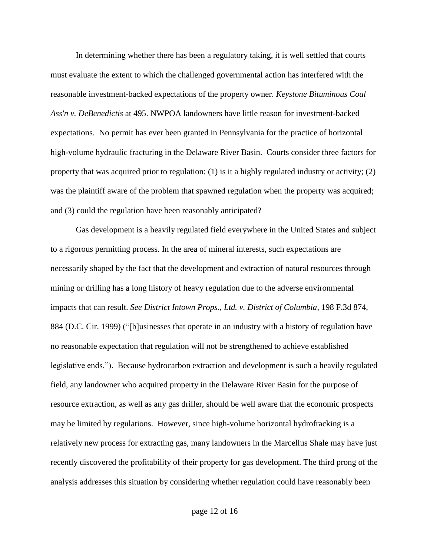In determining whether there has been a regulatory taking, it is well settled that courts must evaluate the extent to which the challenged governmental action has interfered with the reasonable investment-backed expectations of the property owner. *Keystone Bituminous Coal Ass'n v. DeBenedictis* at 495. NWPOA landowners have little reason for investment-backed expectations. No permit has ever been granted in Pennsylvania for the practice of horizontal high-volume hydraulic fracturing in the Delaware River Basin. Courts consider three factors for property that was acquired prior to regulation: (1) is it a highly regulated industry or activity; (2) was the plaintiff aware of the problem that spawned regulation when the property was acquired; and (3) could the regulation have been reasonably anticipated?

Gas development is a heavily regulated field everywhere in the United States and subject to a rigorous permitting process. In the area of mineral interests, such expectations are necessarily shaped by the fact that the development and extraction of natural resources through mining or drilling has a long history of heavy regulation due to the adverse environmental impacts that can result. *See District Intown Props., Ltd. v. District of Columbia*, 198 F.3d 874, 884 (D.C. Cir. 1999) ("[b]usinesses that operate in an industry with a history of regulation have no reasonable expectation that regulation will not be strengthened to achieve established legislative ends."). Because hydrocarbon extraction and development is such a heavily regulated field, any landowner who acquired property in the Delaware River Basin for the purpose of resource extraction, as well as any gas driller, should be well aware that the economic prospects may be limited by regulations. However, since high-volume horizontal hydrofracking is a relatively new process for extracting gas, many landowners in the Marcellus Shale may have just recently discovered the profitability of their property for gas development. The third prong of the analysis addresses this situation by considering whether regulation could have reasonably been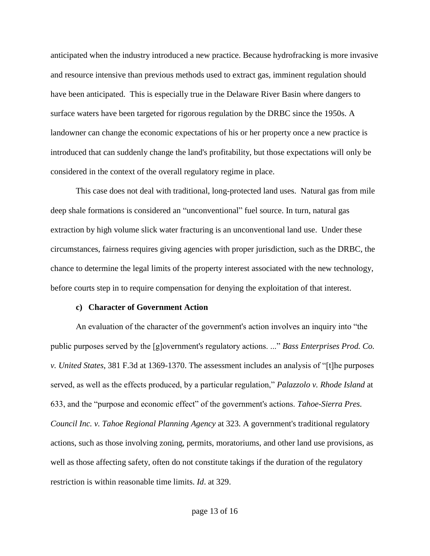anticipated when the industry introduced a new practice. Because hydrofracking is more invasive and resource intensive than previous methods used to extract gas, imminent regulation should have been anticipated. This is especially true in the Delaware River Basin where dangers to surface waters have been targeted for rigorous regulation by the DRBC since the 1950s. A landowner can change the economic expectations of his or her property once a new practice is introduced that can suddenly change the land's profitability, but those expectations will only be considered in the context of the overall regulatory regime in place.

This case does not deal with traditional, long-protected land uses. Natural gas from mile deep shale formations is considered an "unconventional" fuel source. In turn, natural gas extraction by high volume slick water fracturing is an unconventional land use. Under these circumstances, fairness requires giving agencies with proper jurisdiction, such as the DRBC, the chance to determine the legal limits of the property interest associated with the new technology, before courts step in to require compensation for denying the exploitation of that interest.

#### **c) Character of Government Action**

An evaluation of the character of the government's action involves an inquiry into "the public purposes served by the [g]overnment's regulatory actions. ..." *[Bass Enterprises Prod. Co.](http://web2.westlaw.com/find/default.wl?mt=208&db=506&tc=-1&rp=%2ffind%2fdefault.wl&findtype=Y&ordoc=0333829600&serialnum=2004963621&vr=2.0&fn=_top&sv=Split&tf=-1&referencepositiontype=S&pbc=EE433E38&referenceposition=1369&rs=WLW12.01)  v. United States*[, 381 F.3d at 1369-1370.](http://web2.westlaw.com/find/default.wl?mt=208&db=506&tc=-1&rp=%2ffind%2fdefault.wl&findtype=Y&ordoc=0333829600&serialnum=2004963621&vr=2.0&fn=_top&sv=Split&tf=-1&referencepositiontype=S&pbc=EE433E38&referenceposition=1369&rs=WLW12.01) The assessment includes an analysis of "[t]he purposes served, as well as the effects produced, by a particular regulation," *Palazzolo v. Rhode Island* at 633, and the "purpose and economic effect" of the government's actions. *Tahoe-Sierra Pres. Council Inc. v. Tahoe Regional Planning Agency* at 323. A government's traditional regulatory actions, such as those involving zoning, permits, moratoriums, and other land use provisions, as well as those affecting safety, often do not constitute takings if the duration of the regulatory restriction is within reasonable time limits. *Id*. at 329.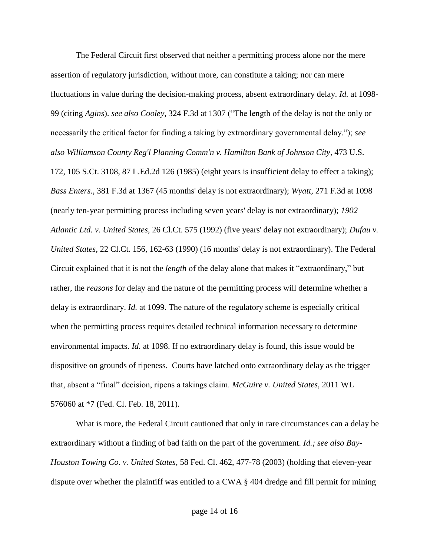The Federal Circuit first observed that neither a permitting process alone nor the mere assertion of regulatory jurisdiction, without more, can constitute a taking; nor can mere fluctuations in value during the decision-making process, absent extraordinary delay. *Id.* [at 1098-](http://web2.westlaw.com/find/default.wl?rs=WLW12.01&pbc=81B75BEA&vr=2.0&findtype=Y&rp=%2ffind%2fdefault.wl&sv=Split&fn=_top&tf=-1&ordoc=2017960820&mt=208&serialnum=2001986512&tc=-1) [99](http://web2.westlaw.com/find/default.wl?rs=WLW12.01&pbc=81B75BEA&vr=2.0&findtype=Y&rp=%2ffind%2fdefault.wl&sv=Split&fn=_top&tf=-1&ordoc=2017960820&mt=208&serialnum=2001986512&tc=-1) (citing *[Agins](http://web2.westlaw.com/find/default.wl?rs=WLW12.01&pbc=81B75BEA&vr=2.0&findtype=Y&rp=%2ffind%2fdefault.wl&sv=Split&fn=_top&tf=-1&ordoc=2017960820&mt=208&serialnum=1980116772&tc=-1)*). *see also Cooley,* [324 F.3d at 1307](http://web2.westlaw.com/find/default.wl?mt=208&db=506&tc=-1&rp=%2ffind%2fdefault.wl&findtype=Y&ordoc=2017960820&serialnum=2003256747&vr=2.0&fn=_top&sv=Split&tf=-1&referencepositiontype=S&pbc=81B75BEA&referenceposition=1307&rs=WLW12.01) ("The length of the delay is not the only or necessarily the critical factor for finding a taking by extraordinary governmental delay."); *see also [Williamson County Reg'l Planning Comm'n v. Hamilton Bank of Johnson City,](http://web2.westlaw.com/find/default.wl?mt=208&db=708&tc=-1&rp=%2ffind%2fdefault.wl&findtype=Y&ordoc=2017960820&serialnum=1985133040&vr=2.0&fn=_top&sv=Split&tf=-1&pbc=81B75BEA&rs=WLW12.01)* 473 U.S. [172, 105 S.Ct. 3108, 87 L.Ed.2d 126 \(1985\)](http://web2.westlaw.com/find/default.wl?mt=208&db=708&tc=-1&rp=%2ffind%2fdefault.wl&findtype=Y&ordoc=2017960820&serialnum=1985133040&vr=2.0&fn=_top&sv=Split&tf=-1&pbc=81B75BEA&rs=WLW12.01) (eight years is insufficient delay to effect a taking); *Bass Enters.,* [381 F.3d at 1367](http://web2.westlaw.com/find/default.wl?mt=208&db=506&tc=-1&rp=%2ffind%2fdefault.wl&findtype=Y&ordoc=2017960820&serialnum=2004963621&vr=2.0&fn=_top&sv=Split&tf=-1&referencepositiontype=S&pbc=81B75BEA&referenceposition=1367&rs=WLW12.01) (45 months' delay is not extraordinary); *Wyatt,* [271 F.3d at 1098](http://web2.westlaw.com/find/default.wl?mt=208&db=506&tc=-1&rp=%2ffind%2fdefault.wl&findtype=Y&ordoc=2017960820&serialnum=2001986512&vr=2.0&fn=_top&sv=Split&tf=-1&referencepositiontype=S&pbc=81B75BEA&referenceposition=1098&rs=WLW12.01) (nearly ten-year permitting process including seven years' delay is not extraordinary); *[1902](http://web2.westlaw.com/find/default.wl?mt=208&db=852&tc=-1&rp=%2ffind%2fdefault.wl&findtype=Y&ordoc=2017960820&serialnum=1992113573&vr=2.0&fn=_top&sv=Split&tf=-1&pbc=81B75BEA&rs=WLW12.01)  [Atlantic Ltd. v. United States,](http://web2.westlaw.com/find/default.wl?mt=208&db=852&tc=-1&rp=%2ffind%2fdefault.wl&findtype=Y&ordoc=2017960820&serialnum=1992113573&vr=2.0&fn=_top&sv=Split&tf=-1&pbc=81B75BEA&rs=WLW12.01)* 26 Cl.Ct. 575 (1992) (five years' delay not extraordinary); *[Dufau v.](http://web2.westlaw.com/find/default.wl?mt=208&db=852&tc=-1&rp=%2ffind%2fdefault.wl&findtype=Y&ordoc=2017960820&serialnum=1990172914&vr=2.0&fn=_top&sv=Split&tf=-1&referencepositiontype=S&pbc=81B75BEA&referenceposition=162&rs=WLW12.01)  United States,* [22 Cl.Ct. 156, 162-63 \(1990\)](http://web2.westlaw.com/find/default.wl?mt=208&db=852&tc=-1&rp=%2ffind%2fdefault.wl&findtype=Y&ordoc=2017960820&serialnum=1990172914&vr=2.0&fn=_top&sv=Split&tf=-1&referencepositiontype=S&pbc=81B75BEA&referenceposition=162&rs=WLW12.01) (16 months' delay is not extraordinary). The Federal Circuit explained that it is not the *length* of the delay alone that makes it "extraordinary," but rather, the *reasons* for delay and the nature of the permitting process will determine whether a delay is extraordinary. *Id.* [at 1099.](http://web2.westlaw.com/find/default.wl?rs=WLW12.01&pbc=81B75BEA&vr=2.0&findtype=Y&rp=%2ffind%2fdefault.wl&sv=Split&fn=_top&tf=-1&ordoc=2017960820&mt=208&serialnum=2001986512&tc=-1) The nature of the regulatory scheme is especially critical when the permitting process requires detailed technical information necessary to determine environmental impacts. *Id.* [at 1098.](http://web2.westlaw.com/find/default.wl?rs=WLW12.01&pbc=81B75BEA&vr=2.0&findtype=Y&rp=%2ffind%2fdefault.wl&sv=Split&fn=_top&tf=-1&ordoc=2017960820&mt=208&serialnum=2001986512&tc=-1) If no extraordinary delay is found, this issue would be dispositive on grounds of ripeness. Courts have latched onto extraordinary delay as the trigger that, absent a "final" decision, ripens a takings claim. *[McGuire v. United States](http://web2.westlaw.com/find/default.wl?mt=208&db=0000999&tc=-1&rp=%2ffind%2fdefault.wl&findtype=Y&ordoc=0362400481&serialnum=2024626601&vr=2.0&fn=_top&sv=Split&tf=-1&pbc=9AFBEB92&rs=WLW12.01)*, 2011 WL [576060 at \\*7 \(Fed. Cl. Feb. 18, 2011\).](http://web2.westlaw.com/find/default.wl?mt=208&db=0000999&tc=-1&rp=%2ffind%2fdefault.wl&findtype=Y&ordoc=0362400481&serialnum=2024626601&vr=2.0&fn=_top&sv=Split&tf=-1&pbc=9AFBEB92&rs=WLW12.01)

What is more, the Federal Circuit cautioned that only in rare circumstances can a delay be extraordinary without a finding of bad faith on the part of the government. *Id.; see also [Bay-](http://web2.westlaw.com/find/default.wl?mt=208&db=0000613&tc=-1&rp=%2ffind%2fdefault.wl&findtype=Y&ordoc=0284643294&serialnum=2003868447&vr=2.0&fn=_top&sv=Split&tf=-1&referencepositiontype=S&pbc=CF7F1911&referenceposition=477&rs=WLW12.01)[Houston Towing Co. v. United States](http://web2.westlaw.com/find/default.wl?mt=208&db=0000613&tc=-1&rp=%2ffind%2fdefault.wl&findtype=Y&ordoc=0284643294&serialnum=2003868447&vr=2.0&fn=_top&sv=Split&tf=-1&referencepositiontype=S&pbc=CF7F1911&referenceposition=477&rs=WLW12.01)*, 58 Fed. Cl. 462, 477-78 (2003) (holding that eleven-year dispute over whether the plaintiff was entitled to a CWA § 404 dredge and fill permit for mining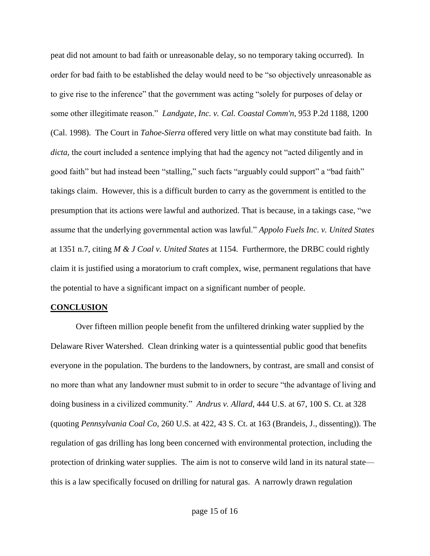peat did not amount to bad faith or unreasonable delay, so no temporary taking occurred). In order for bad faith to be established the delay would need to be "so objectively unreasonable as to give rise to the inference" that the government was acting "solely for purposes of delay or some other illegitimate reason." *Landgate, Inc. v. Cal. Coastal Comm'n*[, 953 P.2d 1188, 1200](http://web2.westlaw.com/find/default.wl?mt=208&db=661&tc=-1&rp=%2ffind%2fdefault.wl&findtype=Y&ordoc=0345736817&serialnum=1998101111&vr=2.0&fn=_top&sv=Split&tf=-1&referencepositiontype=S&pbc=1D358D8D&referenceposition=1200&rs=WLW12.01)  [\(Cal. 1998\).](http://web2.westlaw.com/find/default.wl?mt=208&db=661&tc=-1&rp=%2ffind%2fdefault.wl&findtype=Y&ordoc=0345736817&serialnum=1998101111&vr=2.0&fn=_top&sv=Split&tf=-1&referencepositiontype=S&pbc=1D358D8D&referenceposition=1200&rs=WLW12.01) The Court in *Tahoe-Sierra* offered very little on what may constitute bad faith. In *dicta*, the court included a sentence implying that had the agency not "acted diligently and in good faith" but had instead been "stalling," such facts "arguably could support" a "bad faith" takings claim. However, this is a difficult burden to carry as the government is entitled to the presumption that its actions were lawful and authorized. That is because, in a takings case, "we assume that the underlying governmental action was lawful." *Appolo Fuels Inc. v. United States* at 1351 n.7, citing *M & J Coal v. United States* at 1154. Furthermore, the DRBC could rightly claim it is justified using a moratorium to craft complex, wise, permanent regulations that have the potential to have a significant impact on a significant number of people.

## **CONCLUSION**

Over fifteen million people benefit from the unfiltered drinking water supplied by the Delaware River Watershed. Clean drinking water is a quintessential public good that benefits everyone in the population. The burdens to the landowners, by contrast, are small and consist of no more than what any landowner must submit to in order to secure "the advantage of living and doing business in a civilized community." *Andrus v. Allard*, 444 U.S. at 67, 100 S. Ct. at 328 (quoting *Pennsylvania Coal Co*, 260 U.S. at 422, 43 S. Ct. at 163 (Brandeis, J., dissenting)). The regulation of gas drilling has long been concerned with environmental protection, including the protection of drinking water supplies. The aim is not to conserve wild land in its natural state this is a law specifically focused on drilling for natural gas. A narrowly drawn regulation